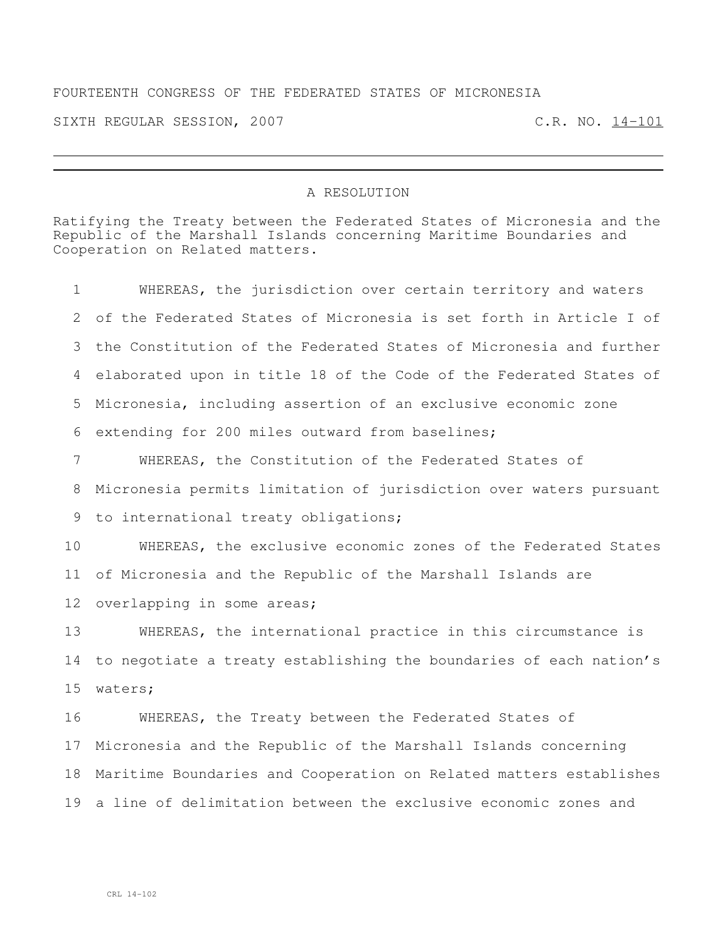## FOURTEENTH CONGRESS OF THE FEDERATED STATES OF MICRONESIA

SIXTH REGULAR SESSION, 2007 C.R. NO. 14-101

## A RESOLUTION

Ratifying the Treaty between the Federated States of Micronesia and the Republic of the Marshall Islands concerning Maritime Boundaries and Cooperation on Related matters.

| $\mathbf 1$ | WHEREAS, the jurisdiction over certain territory and waters        |
|-------------|--------------------------------------------------------------------|
| 2           | of the Federated States of Micronesia is set forth in Article I of |
| 3           | the Constitution of the Federated States of Micronesia and further |
| 4           | elaborated upon in title 18 of the Code of the Federated States of |
| 5           | Micronesia, including assertion of an exclusive economic zone      |
| 6           | extending for 200 miles outward from baselines;                    |
| 7           | WHEREAS, the Constitution of the Federated States of               |
| 8           | Micronesia permits limitation of jurisdiction over waters pursuant |
| 9           | to international treaty obligations;                               |
| 10          | WHEREAS, the exclusive economic zones of the Federated States      |
| 11          | of Micronesia and the Republic of the Marshall Islands are         |
| 12          | overlapping in some areas;                                         |
| 13          | WHEREAS, the international practice in this circumstance is        |
| 14          | to negotiate a treaty establishing the boundaries of each nation's |
| 15          | waters;                                                            |
| 16          | WHEREAS, the Treaty between the Federated States of                |
| 17          | Micronesia and the Republic of the Marshall Islands concerning     |
| 18          | Maritime Boundaries and Cooperation on Related matters establishes |
| 19          | a line of delimitation between the exclusive economic zones and    |